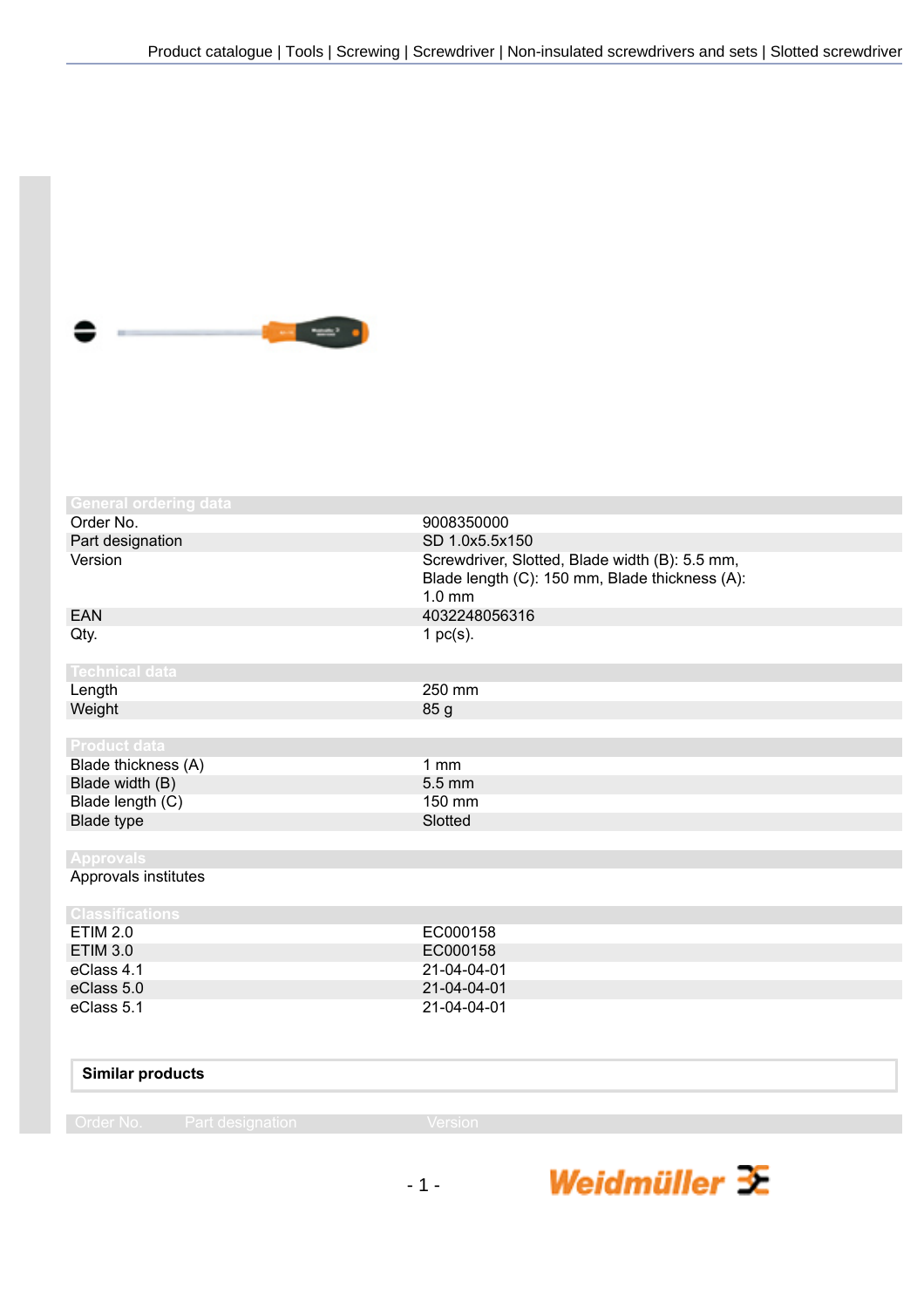

| <b>General ordering data</b> |                                                                                                              |
|------------------------------|--------------------------------------------------------------------------------------------------------------|
| Order No.                    | 9008350000                                                                                                   |
| Part designation             | SD 1.0x5.5x150                                                                                               |
| Version                      | Screwdriver, Slotted, Blade width (B): 5.5 mm,<br>Blade length (C): 150 mm, Blade thickness (A):<br>$1.0$ mm |
| <b>EAN</b>                   | 4032248056316                                                                                                |
| Qty.                         | 1 $pc(s)$ .                                                                                                  |
| <b>Technical data</b>        |                                                                                                              |
| Length                       | 250 mm                                                                                                       |
| Weight                       | 85 g                                                                                                         |
|                              |                                                                                                              |
| <b>Product data</b>          |                                                                                                              |
| Blade thickness (A)          | 1mm                                                                                                          |
| Blade width (B)              | 5.5 mm                                                                                                       |
| Blade length (C)             | 150 mm                                                                                                       |
| <b>Blade type</b>            | Slotted                                                                                                      |
|                              |                                                                                                              |
| <b>Approvals</b>             |                                                                                                              |
| Approvals institutes         |                                                                                                              |
| <b>Classifications</b>       |                                                                                                              |
| <b>ETIM 2.0</b>              | EC000158                                                                                                     |
| <b>ETIM 3.0</b>              | EC000158                                                                                                     |
| eClass 4.1                   | 21-04-04-01                                                                                                  |
| eClass 5.0                   | 21-04-04-01                                                                                                  |
| eClass 5.1                   | 21-04-04-01                                                                                                  |
|                              |                                                                                                              |
| Similar products             |                                                                                                              |